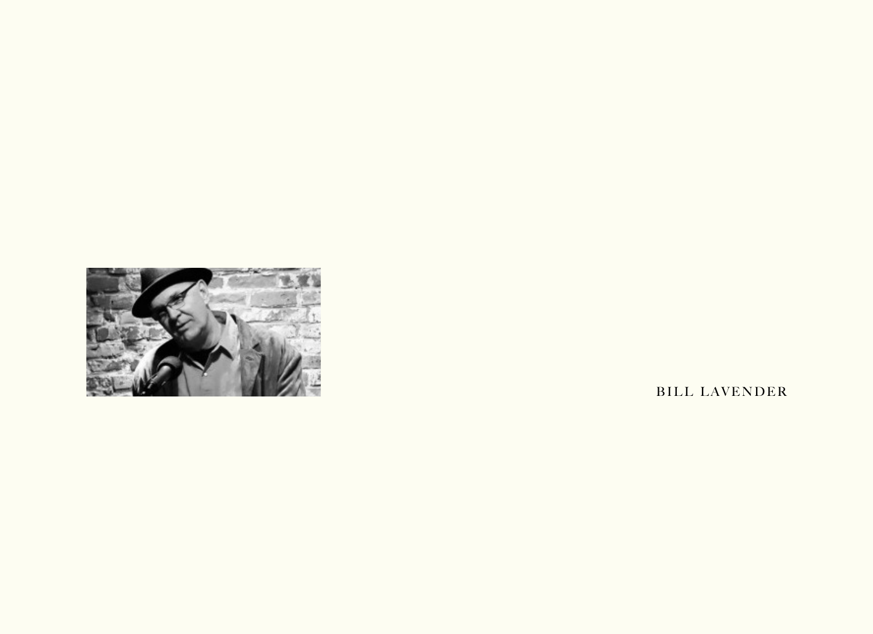

BILL LAVENDER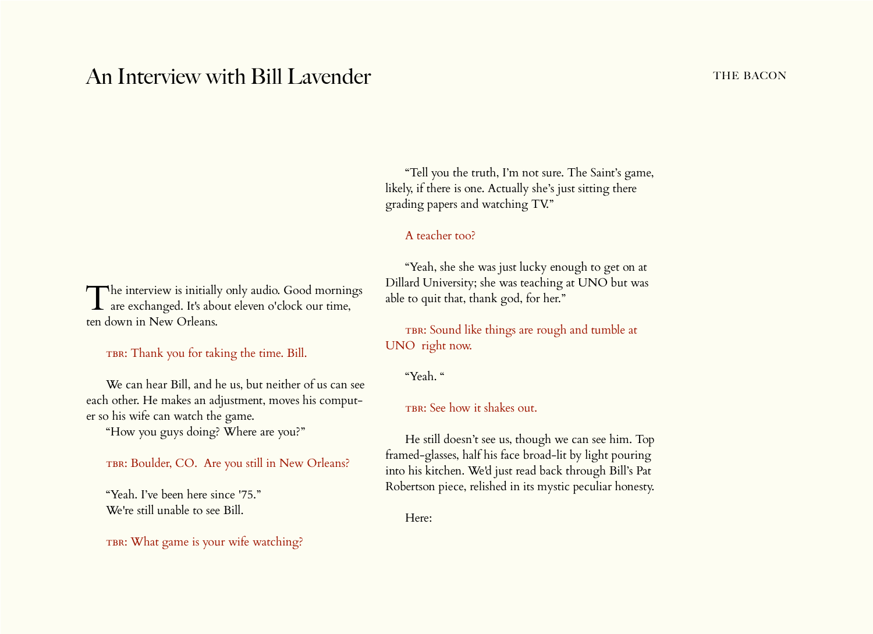# An Interview with Bill Lavender **the BACON** THE BACON

The interview is initially only audio. Good mornings are exchanged. It's about eleven o'clock our time, ten down in New Orleans.

TBR: Thank you for taking the time. Bill.

We can hear Bill, and he us, but neither of us can see each other. He makes an adjustment, moves his computer so his wife can watch the game.

"How you guys doing? Where are you?"

TBR: Boulder, CO. Are you still in New Orleans?

"Yeah. I've been here since '75." We're still unable to see Bill.

TBR: What game is your wife watching?

"Tell you the truth, I'm not sure. The Saint's game, likely, if there is one. Actually she's just sitting there grading papers and watching TV."

# A teacher too?

"Yeah, she she was just lucky enough to get on at Dillard University; she was teaching at UNO but was able to quit that, thank god, for her."

TBR: Sound like things are rough and tumble at UNO right now.

"Yeah. "

TBR: See how it shakes out.

He still doesn't see us, though we can see him. Top framed-glasses, half his face broad-lit by light pouring into his kitchen. We'd just read back through Bill's Pat Robertson piece, relished in its mystic peculiar honesty.

Here: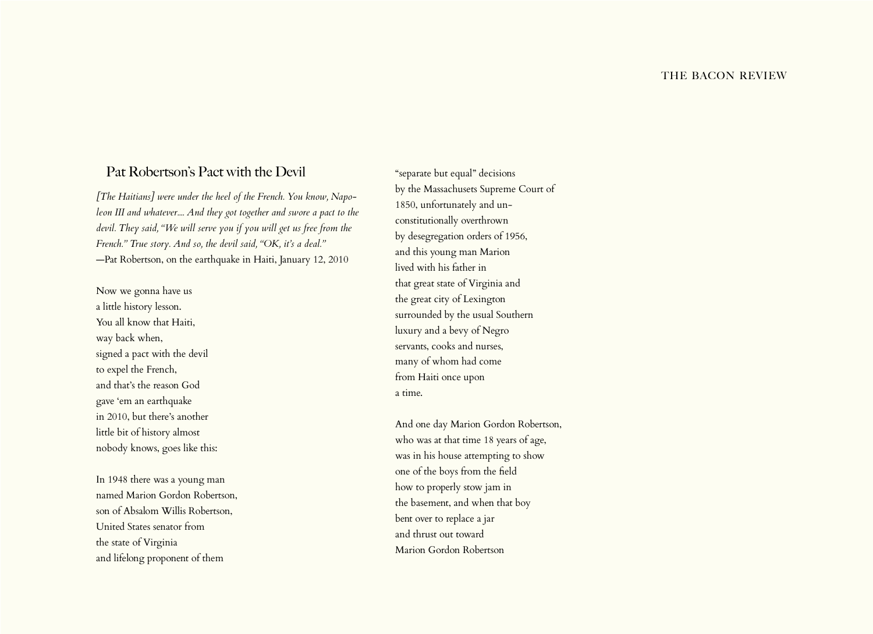# Pat Robertson's Pact with the Devil

*[The Haitians] were under the heel of the French. You know, Napoleon III and whatever.... And they got together and swore a pact to the devil. They said, "We will serve you if you will get us free from the French." True story. And so, the devil said, "OK, it's a deal."* —Pat Robertson, on the earthquake in Haiti, January 12, 2010

Now we gonna have us a little history lesson. You all know that Haiti, way back when, signed a pact with the devil to expel the French, and that's the reason God gave 'em an earthquake in 2010, but there's another little bit of history almost nobody knows, goes like this:

In 1948 there was a young man named Marion Gordon Robertson, son of Absalom Willis Robertson, United States senator from the state of Virginia and lifelong proponent of them

"separate but equal" decisions by the Massachusets Supreme Court of 1850, unfortunately and unconstitutionally overthrown by desegregation orders of 1956, and this young man Marion lived with his father in that great state of Virginia and the great city of Lexington surrounded by the usual Southern luxury and a bevy of Negro servants, cooks and nurses, many of whom had come from Haiti once upon a time.

And one day Marion Gordon Robertson, who was at that time 18 years of age, was in his house attempting to show one of the boys from the field how to properly stow jam in the basement, and when that boy bent over to replace a jar and thrust out toward Marion Gordon Robertson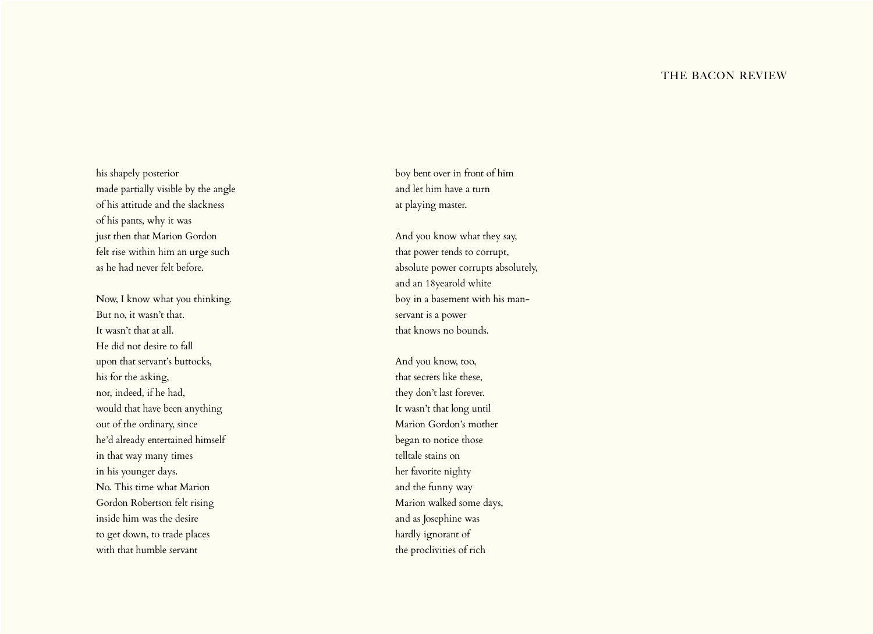#### THE BACON REVIEW

his shapely posterior made partially visible by the angle of his attitude and the slackness of his pants, why it was just then that Marion Gordon felt rise within him an urge such as he had never felt before.

Now, I know what you thinking. But no, it wasn't that. It wasn't that at all. He did not desire to fall upon that servant's buttocks, his for the asking, nor, indeed, if he had, would that have been anything out of the ordinary, since he'd already entertained himself in that way many times in his younger days. No. This time what Marion Gordon Robertson felt rising inside him was the desire to get down, to trade places with that humble servant

boy bent over in front of him and let him have a turn at playing master.

And you know what they say, that power tends to corrupt, absolute power corrupts absolutely, and an 18yearold white boy in a basement with his manservant is a power that knows no bounds.

And you know, too, that secrets like these, they don't last forever. It wasn't that long until Marion Gordon's mother began to notice those telltale stains on her favorite nighty and the funny way Marion walked some days, and as Josephine was hardly ignorant of the proclivities of rich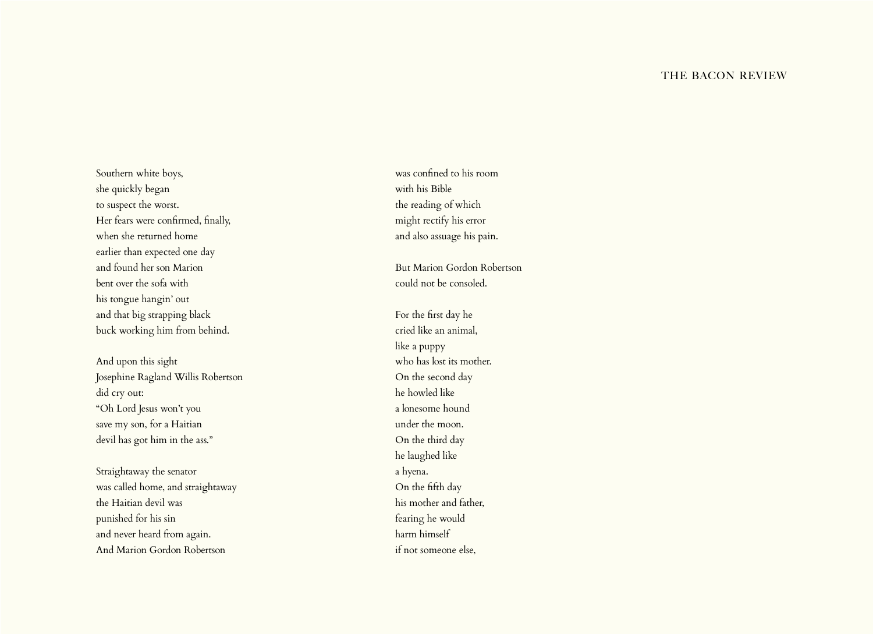#### THE BACON REVIEW

Southern white boys, she quickly began to suspect the worst. Her fears were confirmed, finally, when she returned home earlier than expected one day and found her son Marion bent over the sofa with his tongue hangin' out and that big strapping black buck working him from behind.

And upon this sight Josephine Ragland Willis Robertson did cry out: "Oh Lord Jesus won't you save my son, for a Haitian devil has got him in the ass."

Straightaway the senator was called home, and straightaway the Haitian devil was punished for his sin and never heard from again. And Marion Gordon Robertson

was confined to his room with his Bible the reading of which might rectify his error and also assuage his pain.

But Marion Gordon Robertson could not be consoled.

For the first day he cried like an animal, like a puppy who has lost its mother. On the second day he howled like a lonesome hound under the moon. On the third day he laughed like a hyena. On the fifth day his mother and father, fearing he would harm himself if not someone else,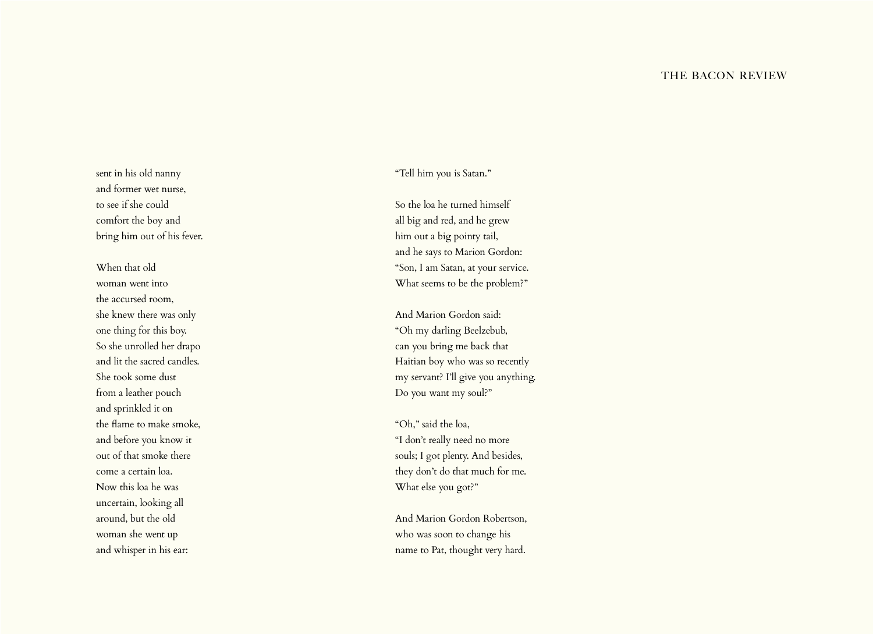sent in his old nanny and former wet nurse, to see if she could comfort the boy and bring him out of his fever.

When that old woman went into the accursed room, she knew there was only one thing for this boy. So she unrolled her drapo and lit the sacred candles. She took some dust from a leather pouch and sprinkled it on the flame to make smoke, and before you know it out of that smoke there come a certain loa. Now this loa he was uncertain, looking all around, but the old woman she went up and whisper in his ear:

"Tell him you is Satan."

So the loa he turned himself all big and red, and he grew him out a big pointy tail, and he says to Marion Gordon: "Son, I am Satan, at your service. What seems to be the problem?"

And Marion Gordon said: "Oh my darling Beelzebub, can you bring me back that Haitian boy who was so recently my servant? I'll give you anything. Do you want my soul?"

"Oh," said the loa, "I don't really need no more souls; I got plenty. And besides, they don't do that much for me. What else you got?"

And Marion Gordon Robertson, who was soon to change his name to Pat, thought very hard.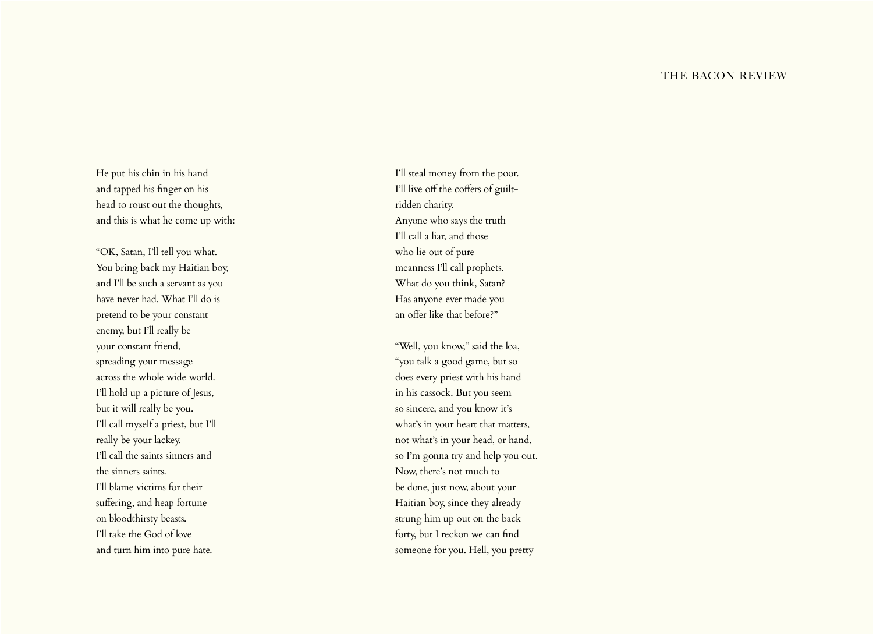#### THE BACON REVIEW

He put his chin in his hand and tapped his finger on his head to roust out the thoughts, and this is what he come up with:

"OK, Satan, I'll tell you what. You bring back my Haitian boy, and I'll be such a servant as you have never had. What I'll do is pretend to be your constant enemy, but I'll really be your constant friend, spreading your message across the whole wide world. I'll hold up a picture of Jesus, but it will really be you. I'll call myself a priest, but I'll really be your lackey. I'll call the saints sinners and the sinners saints. I'll blame victims for their suffering, and heap fortune on bloodthirsty beasts. I'll take the God of love and turn him into pure hate.

I'll steal money from the poor. I'll live off the coffers of guiltridden charity. Anyone who says the truth I'll call a liar, and those who lie out of pure meanness I'll call prophets. What do you think, Satan? Has anyone ever made you an offer like that before?"

"Well, you know," said the loa, "you talk a good game, but so does every priest with his hand in his cassock. But you seem so sincere, and you know it's what's in your heart that matters, not what's in your head, or hand, so I'm gonna try and help you out. Now, there's not much to be done, just now, about your Haitian boy, since they already strung him up out on the back forty, but I reckon we can find someone for you. Hell, you pretty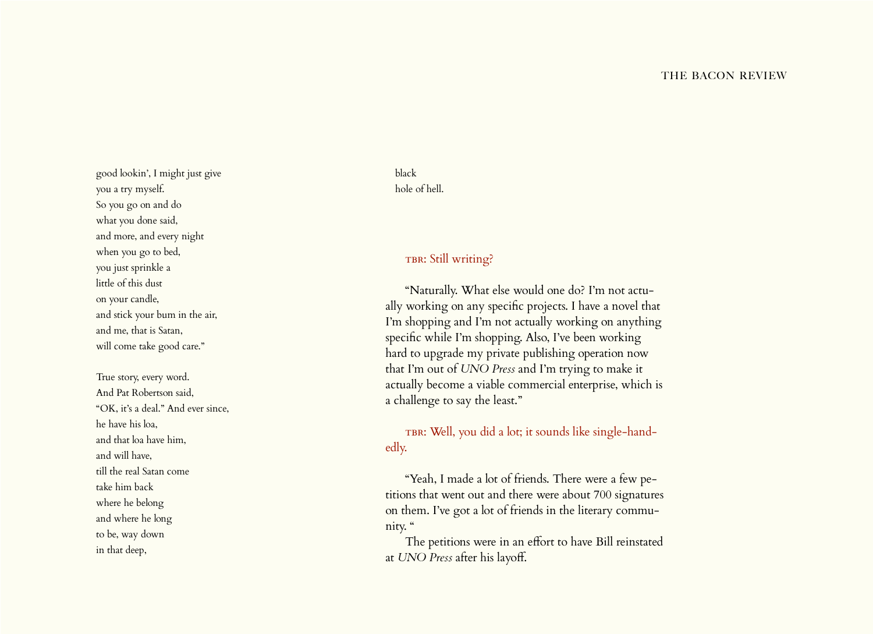good lookin', I might just give you a try myself. So you go on and do what you done said, and more, and every night when you go to bed, you just sprinkle a little of this dust on your candle, and stick your bum in the air, and me, that is Satan, will come take good care."

True story, every word. And Pat Robertson said, "OK, it's a deal." And ever since, he have his loa, and that loa have him, and will have, till the real Satan come take him back where he belong and where he long to be, way down in that deep,

# black hole of hell.

# TBR: Still writing?

"Naturally. What else would one do? I'm not actu ally working on any specific projects. I have a novel that I'm shopping and I'm not actually working on anything specific while I'm shopping. Also, I've been working hard to upgrade my private publishing operation now that I'm out of *UNO Press* and I'm trying to make it actually become a viable commercial enterprise, which is a challenge to say the least."

твв: Well, you did a lot; it sounds like single-handedly.

"Yeah, I made a lot of friends. There were a few pe titions that went out and there were about 700 signatures on them. I've got a lot of friends in the literary commu nity. "

The petitions were in an effort to have Bill reinstated at *UNO Press* after his layoff.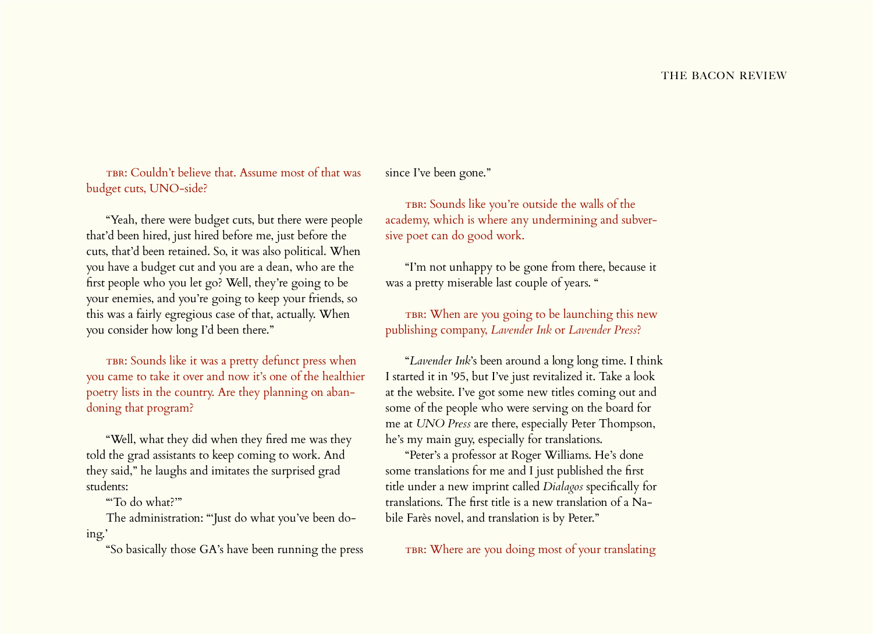TBR: Couldn't believe that. Assume most of that was budget cuts, UNO-side?

"Yeah, there were budget cuts, but there were people that'd been hired, just hired before me, just before the cuts, that'd been retained. So, it was also political. When you have a budget cut and you are a dean, who are the first people who you let go? Well, they're going to be your enemies, and you're going to keep your friends, so this was a fairly egregious case of that, actually. When you consider how long I'd been there."

TBR: Sounds like it was a pretty defunct press when you came to take it over and now it's one of the healthier poetry lists in the country. Are they planning on abandoning that program?

"Well, what they did when they fired me was they told the grad assistants to keep coming to work. And they said," he laughs and imitates the surprised grad students:

"'To do what?'"

The administration: "'Just do what you've been doing.'

"So basically those GA's have been running the press

since I've been gone."

TBR: Sounds like you're outside the walls of the academy, which is where any undermining and subversive poet can do good work.

"I'm not unhappy to be gone from there, because it was a pretty miserable last couple of years. "

TBR: When are you going to be launching this new publishing company, *Lavender Ink* or *Lavender Press*?

"*Lavender Ink*'s been around a long long time. I think I started it in '95, but I've just revitalized it. Take a look at the website. I've got some new titles coming out and some of the people who were serving on the board for me at *UNO Press* are there, especially Peter Thompson, he's my main guy, especially for translations.

"Peter's a professor at Roger Williams. He's done some translations for me and I just published the first title under a new imprint called *Dialagos* specifically for translations. The first title is a new translation of a Nabile Farès novel, and translation is by Peter."

TBR: Where are you doing most of your translating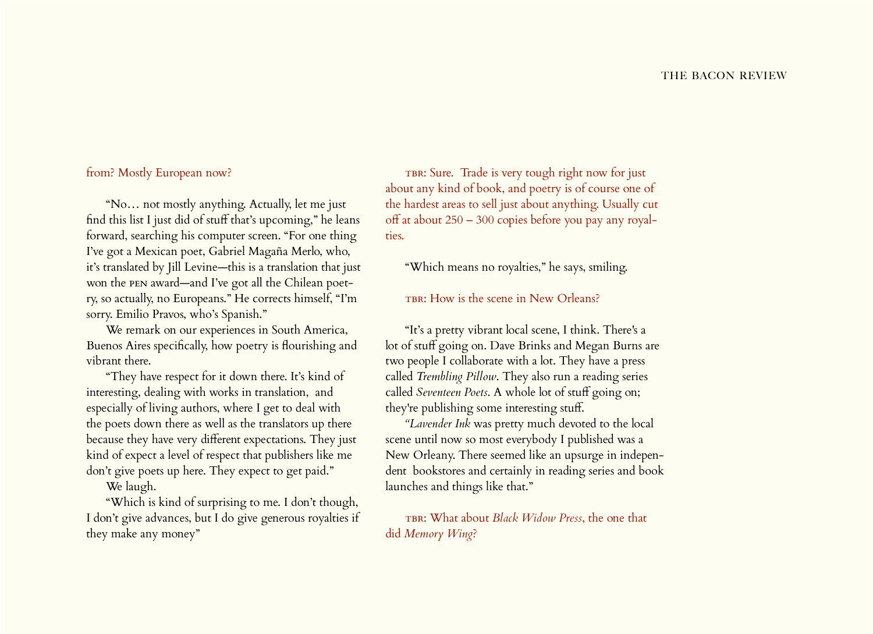## from? Mostly European now?

"No… not mostly anything. Actually, let me just find this list I just did of stuff that's upcoming," he leans forward, searching his computer screen. "For one thing I've got a Mexican poet, Gabriel Magaña Merlo, who, it's translated by Jill Levine—this is a translation that just won the pen award—and I've got all the Chilean poetry, so actually, no Europeans." He corrects himself, "I'm sorry. Emilio Pravos, who's Spanish."

We remark on our experiences in South America, Buenos Aires specifically, how poetry is flourishing and vibrant there.

"They have respect for it down there. It's kind of interesting, dealing with works in translation, and especially of living authors, where I get to deal with the poets down there as well as the translators up there because they have very different expectations. They just kind of expect a level of respect that publishers like me don't give poets up here. They expect to get paid."

We laugh.

"Which is kind of surprising to me. I don't though, I don't give advances, but I do give generous royalties if they make any money"

TBR: Sure. Trade is very tough right now for just about any kind of book, and poetry is of course one of the hardest areas to sell just about anything. Usually cut off at about 250 – 300 copies before you pay any royalties.

"Which means no royalties," he says, smiling.

#### TBR: How is the scene in New Orleans?

"It's a pretty vibrant local scene, I think. There's a lot of stuff going on. Dave Brinks and Megan Burns are two people I collaborate with a lot. They have a press called *Trembling Pillow*. They also run a reading series called *Seventeen Poets*. A whole lot of stuff going on; they're publishing some interesting stuff.

*"Lavender Ink* was pretty much devoted to the local scene until now so most everybody I published was a New Orleany. There seemed like an upsurge in independent bookstores and certainly in reading series and book launches and things like that."

TBR: What about *Black Widow Press*, the one that did *Memory Wing*?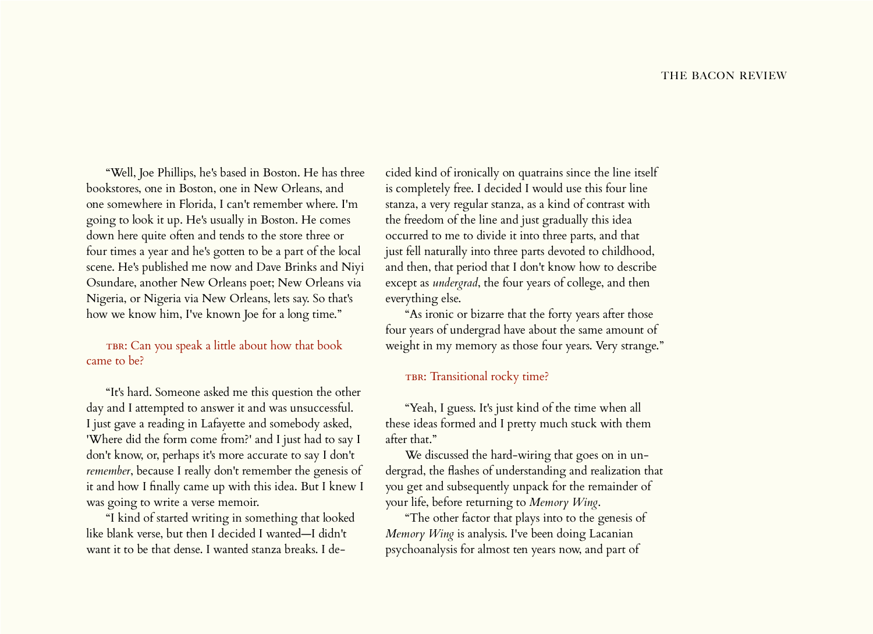"Well, Joe Phillips, he's based in Boston. He has three bookstores, one in Boston, one in New Orleans, and one somewhere in Florida, I can't remember where. I'm going to look it up. He's usually in Boston. He comes down here quite often and tends to the store three or four times a year and he's gotten to be a part of the local scene. He's published me now and Dave Brinks and Niyi Osundare, another New Orleans poet; New Orleans via Nigeria, or Nigeria via New Orleans, lets say. So that's how we know him, I've known Joe for a long time."

TBR: Can you speak a little about how that book came to be?

"It's hard. Someone asked me this question the other day and I attempted to answer it and was unsuccessful. I just gave a reading in Lafayette and somebody asked, 'Where did the form come from?' and I just had to say I don't know, or, perhaps it's more accurate to say I don't *remember*, because I really don't remember the genesis of it and how I finally came up with this idea. But I knew I was going to write a verse memoir.

"I kind of started writing in something that looked like blank verse, but then I decided I wanted—I didn't want it to be that dense. I wanted stanza breaks. I de-

cided kind of ironically on quatrains since the line itself is completely free. I decided I would use this four line stanza, a very regular stanza, as a kind of contrast with the freedom of the line and just gradually this idea occurred to me to divide it into three parts, and that just fell naturally into three parts devoted to childhood, and then, that period that I don't know how to describe except as *undergrad*, the four years of college, and then everything else.

"As ironic or bizarre that the forty years after those four years of undergrad have about the same amount of weight in my memory as those four years. Very strange."

#### TBR: Transitional rocky time?

"Yeah, I guess. It's just kind of the time when all these ideas formed and I pretty much stuck with them after that."

We discussed the hard-wiring that goes on in undergrad, the flashes of understanding and realization that you get and subsequently unpack for the remainder of your life, before returning to *Memory Wing*.

"The other factor that plays into to the genesis of *Memory Wing* is analysis. I've been doing Lacanian psychoanalysis for almost ten years now, and part of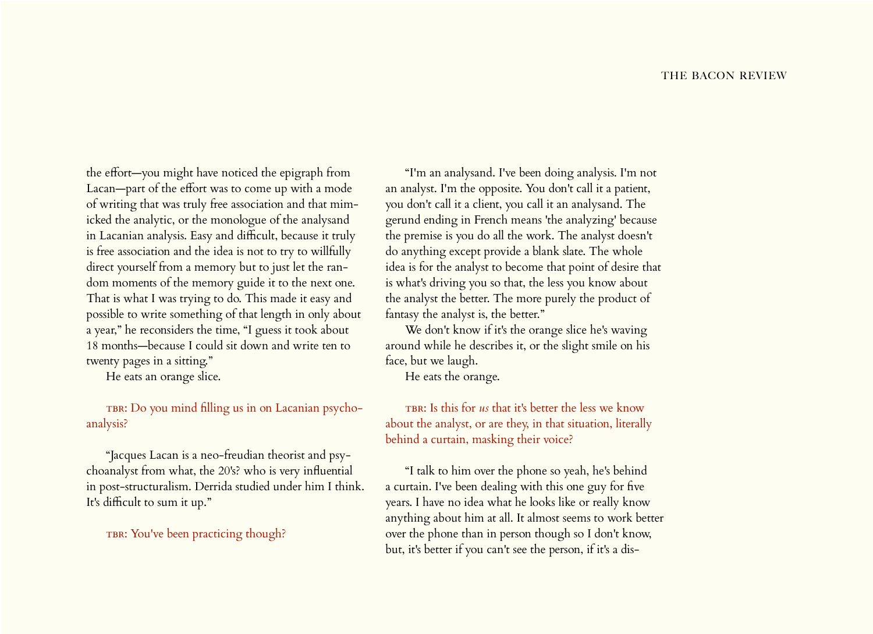the effort—you might have noticed the epigraph from Lacan—part of the effort was to come up with a mode of writing that was truly free association and that mimicked the analytic, or the monologue of the analysand in Lacanian analysis. Easy and difficult, because it truly is free association and the idea is not to try to willfully direct yourself from a memory but to just let the random moments of the memory guide it to the next one. That is what I was trying to do. This made it easy and possible to write something of that length in only about a year," he reconsiders the time, "I guess it took about 18 months—because I could sit down and write ten to twenty pages in a sitting."

He eats an orange slice.

TBR: Do you mind filling us in on Lacanian psychoanalysis?

"Jacques Lacan is a neo-freudian theorist and psychoanalyst from what, the 20's? who is very influential in post-structuralism. Derrida studied under him I think. It's difficult to sum it up."

TBR: You've been practicing though?

"I'm an analysand. I've been doing analysis. I'm not an analyst. I'm the opposite. You don't call it a patient, you don't call it a client, you call it an analysand. The gerund ending in French means 'the analyzing' because the premise is you do all the work. The analyst doesn't do anything except provide a blank slate. The whole idea is for the analyst to become that point of desire that is what's driving you so that, the less you know about the analyst the better. The more purely the product of fantasy the analyst is, the better."

We don't know if it's the orange slice he's waving around while he describes it, or the slight smile on his face, but we laugh.

He eats the orange.

TBR: Is this for *us* that it's better the less we know about the analyst, or are they, in that situation, literally behind a curtain, masking their voice?

"I talk to him over the phone so yeah, he's behind a curtain. I've been dealing with this one guy for five years. I have no idea what he looks like or really know anything about him at all. It almost seems to work better over the phone than in person though so I don't know, but, it's better if you can't see the person, if it's a dis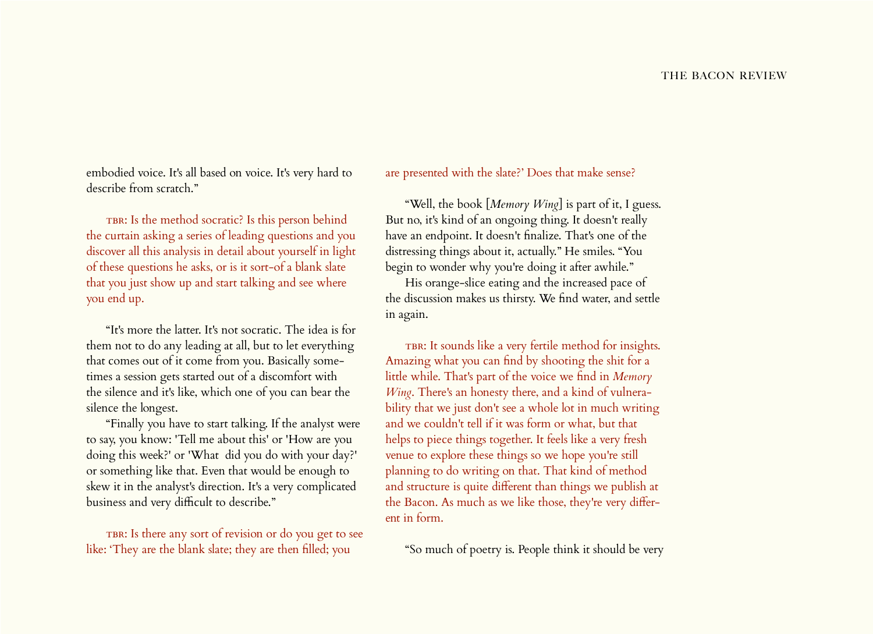embodied voice. It's all based on voice. It's very hard to describe from scratch."

TBR: Is the method socratic? Is this person behind the curtain asking a series of leading questions and you discover all this analysis in detail about yourself in light of these questions he asks, or is it sort-of a blank slate that you just show up and start talking and see where you end up.

"It's more the latter. It's not socratic. The idea is for them not to do any leading at all, but to let everything that comes out of it come from you. Basically sometimes a session gets started out of a discomfort with the silence and it's like, which one of you can bear the silence the longest.

"Finally you have to start talking. If the analyst were to say, you know: 'Tell me about this' or 'How are you doing this week?' or 'What did you do with your day?' or something like that. Even that would be enough to skew it in the analyst's direction. It's a very complicated business and very difficult to describe."

TBR: Is there any sort of revision or do you get to see like: 'They are the blank slate; they are then filled; you

are presented with the slate?' Does that make sense?

"Well, the book [*Memory Wing*] is part of it, I guess. But no, it's kind of an ongoing thing. It doesn't really have an endpoint. It doesn't finalize. That's one of the distressing things about it, actually." He smiles. "You begin to wonder why you're doing it after awhile."

His orange-slice eating and the increased pace of the discussion makes us thirsty. We find water, and settle in again.

TBR: It sounds like a very fertile method for insights. Amazing what you can find by shooting the shit for a little while. That's part of the voice we find in *Memory Wing*. There's an honesty there, and a kind of vulnerability that we just don't see a whole lot in much writing and we couldn't tell if it was form or what, but that helps to piece things together. It feels like a very fresh venue to explore these things so we hope you're still planning to do writing on that. That kind of method and structure is quite different than things we publish at the Bacon. As much as we like those, they're very different in form.

"So much of poetry is. People think it should be very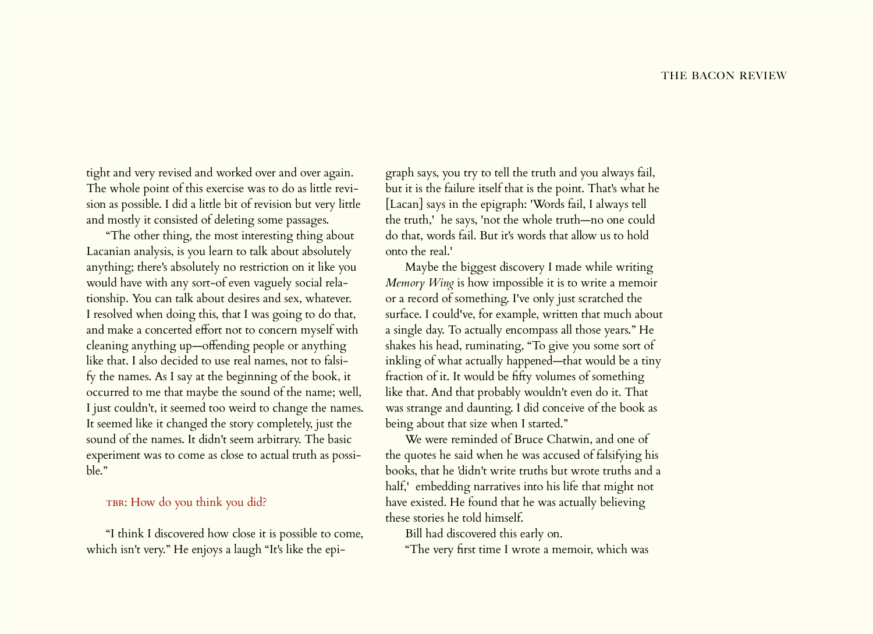tight and very revised and worked over and over again. The whole point of this exercise was to do as little revision as possible. I did a little bit of revision but very little and mostly it consisted of deleting some passages.

"The other thing, the most interesting thing about Lacanian analysis, is you learn to talk about absolutely anything; there's absolutely no restriction on it like you would have with any sort-of even vaguely social relationship. You can talk about desires and sex, whatever. I resolved when doing this, that I was going to do that, and make a concerted effort not to concern myself with cleaning anything up—offending people or anything like that. I also decided to use real names, not to falsify the names. As I say at the beginning of the book, it occurred to me that maybe the sound of the name; well, I just couldn't, it seemed too weird to change the names. It seemed like it changed the story completely, just the sound of the names. It didn't seem arbitrary. The basic experiment was to come as close to actual truth as possible."

# TBR: How do you think you did?

"I think I discovered how close it is possible to come, which isn't very." He enjoys a laugh "It's like the epigraph says, you try to tell the truth and you always fail, but it is the failure itself that is the point. That's what he [Lacan] says in the epigraph: 'Words fail, I always tell the truth,' he says, 'not the whole truth—no one could do that, words fail. But it's words that allow us to hold onto the real.'

Maybe the biggest discovery I made while writing *Memory Wing* is how impossible it is to write a memoir or a record of something. I've only just scratched the surface. I could've, for example, written that much about a single day. To actually encompass all those years." He shakes his head, ruminating, "To give you some sort of inkling of what actually happened—that would be a tiny fraction of it. It would be fifty volumes of something like that. And that probably wouldn't even do it. That was strange and daunting. I did conceive of the book as being about that size when I started."

We were reminded of Bruce Chatwin, and one of the quotes he said when he was accused of falsifying his books, that he 'didn't write truths but wrote truths and a half,' embedding narratives into his life that might not have existed. He found that he was actually believing these stories he told himself.

Bill had discovered this early on.

"The very first time I wrote a memoir, which was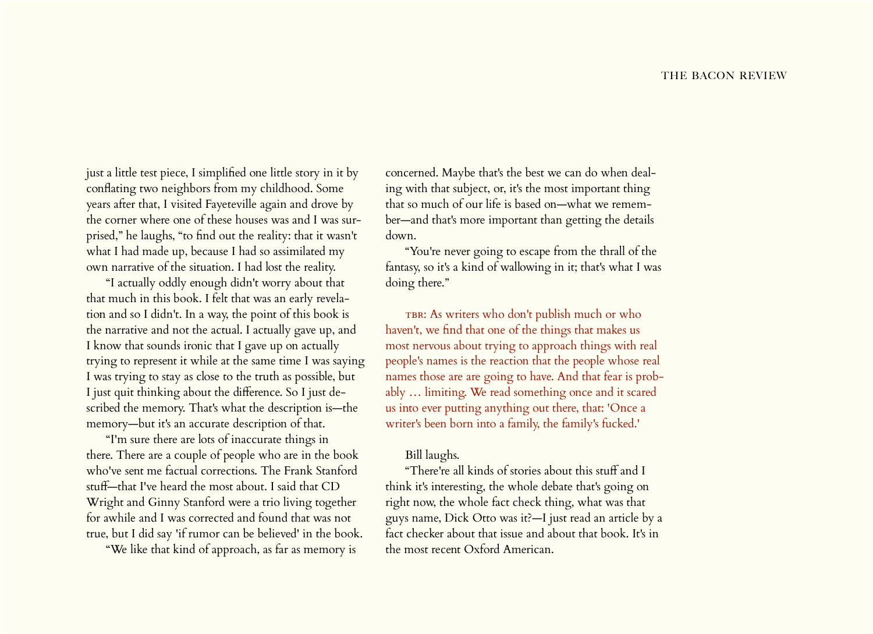just a little test piece, I simplified one little story in it by conflating two neighbors from my childhood. Some years after that, I visited Fayeteville again and drove by the corner where one of these houses was and I was surprised," he laughs, "to find out the reality: that it wasn't what I had made up, because I had so assimilated my own narrative of the situation. I had lost the reality.

"I actually oddly enough didn't worry about that that much in this book. I felt that was an early revelation and so I didn't. In a way, the point of this book is the narrative and not the actual. I actually gave up, and I know that sounds ironic that I gave up on actually trying to represent it while at the same time I was saying I was trying to stay as close to the truth as possible, but I just quit thinking about the difference. So I just described the memory. That's what the description is—the memory—but it's an accurate description of that.

"I'm sure there are lots of inaccurate things in there. There are a couple of people who are in the book who've sent me factual corrections. The Frank Stanford stuff—that I've heard the most about. I said that CD Wright and Ginny Stanford were a trio living together for awhile and I was corrected and found that was not true, but I did say 'if rumor can be believed' in the book.

"We like that kind of approach, as far as memory is

concerned. Maybe that's the best we can do when dealing with that subject, or, it's the most important thing that so much of our life is based on—what we remember—and that's more important than getting the details down.

"You're never going to escape from the thrall of the fantasy, so it's a kind of wallowing in it; that's what I was doing there."

TBR: As writers who don't publish much or who haven't, we find that one of the things that makes us most nervous about trying to approach things with real people's names is the reaction that the people whose real names those are are going to have. And that fear is probably … limiting. We read something once and it scared us into ever putting anything out there, that: 'Once a writer's been born into a family, the family's fucked.'

#### Bill laughs.

"There're all kinds of stories about this stuff and I think it's interesting, the whole debate that's going on right now, the whole fact check thing, what was that guys name, Dick Otto was it?—I just read an article by a fact checker about that issue and about that book. It's in the most recent Oxford American.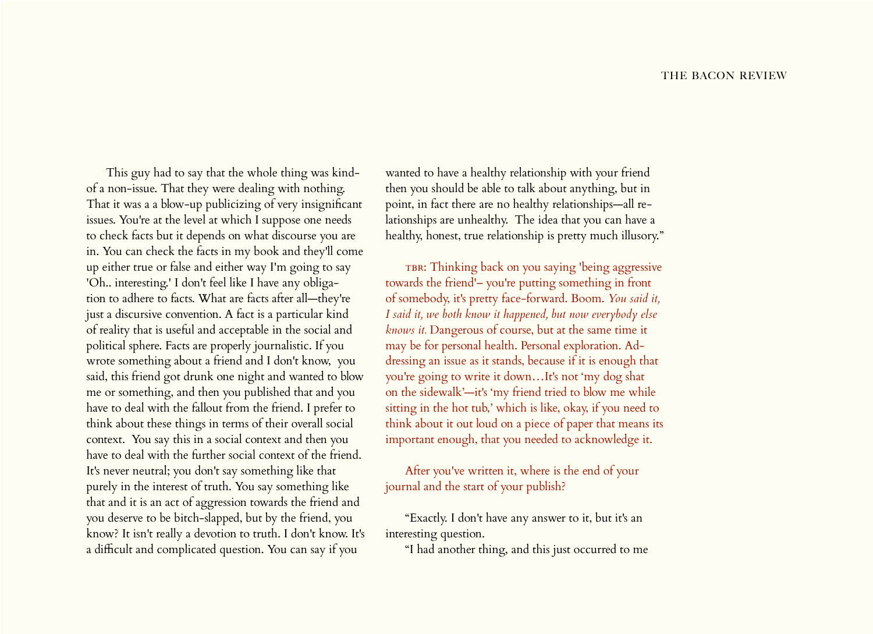This guy had to say that the whole thing was kindof a non-issue. That they were dealing with nothing. That it was a a blow-up publicizing of very insignificant issues. You're at the level at which I suppose one needs to check facts but it depends on what discourse you are in. You can check the facts in my book and they'll come up either true or false and either way I'm going to say 'Oh.. interesting.' I don't feel like I have any obligation to adhere to facts. What are facts after all—they're just a discursive convention. A fact is a particular kind of reality that is useful and acceptable in the social and political sphere. Facts are properly journalistic. If you wrote something about a friend and I don't know, you said, this friend got drunk one night and wanted to blow me or something, and then you published that and you have to deal with the fallout from the friend. I prefer to think about these things in terms of their overall social context. You say this in a social context and then you have to deal with the further social context of the friend. It's never neutral; you don't say something like that purely in the interest of truth. You say something like that and it is an act of aggression towards the friend and you deserve to be bitch-slapped, but by the friend, you know? It isn't really a devotion to truth. I don't know. It's a difficult and complicated question. You can say if you

wanted to have a healthy relationship with your friend then you should be able to talk about anything, but in point, in fact there are no healthy relationships—all relationships are unhealthy. The idea that you can have a healthy, honest, true relationship is pretty much illusory."

TBR: Thinking back on you saying 'being aggressive towards the friend'– you're putting something in front of somebody, it's pretty face-forward. Boom. *You said it, I said it, we both know it happened, but now everybody else knows it.* Dangerous of course, but at the same time it may be for personal health. Personal exploration. Addressing an issue as it stands, because if it is enough that you're going to write it down…It's not 'my dog shat on the sidewalk'—it's 'my friend tried to blow me while sitting in the hot tub,' which is like, okay, if you need to think about it out loud on a piece of paper that means its important enough, that you needed to acknowledge it.

After you've written it, where is the end of your journal and the start of your publish?

"Exactly. I don't have any answer to it, but it's an interesting question.

"I had another thing, and this just occurred to me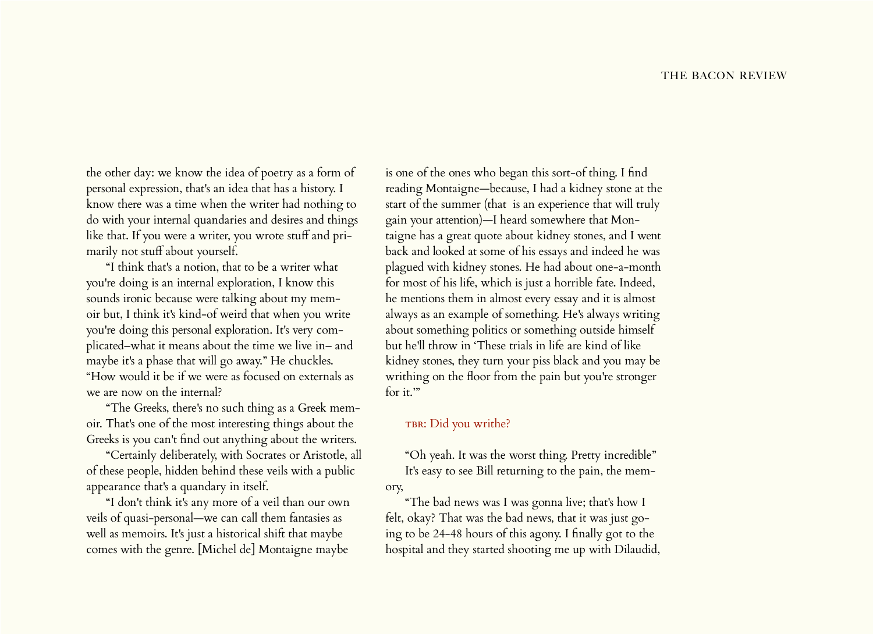the other day: we know the idea of poetry as a form of personal expression, that's an idea that has a history. I know there was a time when the writer had nothing to do with your internal quandaries and desires and things like that. If you were a writer, you wrote stuff and primarily not stuff about yourself.

"I think that's a notion, that to be a writer what you're doing is an internal exploration, I know this sounds ironic because were talking about my memoir but, I think it's kind-of weird that when you write you're doing this personal exploration. It's very complicated–what it means about the time we live in– and maybe it's a phase that will go away." He chuckles. "How would it be if we were as focused on externals as we are now on the internal?

"The Greeks, there's no such thing as a Greek memoir. That's one of the most interesting things about the Greeks is you can't find out anything about the writers.

"Certainly deliberately, with Socrates or Aristotle, all of these people, hidden behind these veils with a public appearance that's a quandary in itself.

"I don't think it's any more of a veil than our own veils of quasi-personal—we can call them fantasies as well as memoirs. It's just a historical shift that maybe comes with the genre. [Michel de] Montaigne maybe is one of the ones who began this sort-of thing. I find reading Montaigne—because, I had a kidney stone at the start of the summer (that is an experience that will truly gain your attention)—I heard somewhere that Montaigne has a great quote about kidney stones, and I went back and looked at some of his essays and indeed he was plagued with kidney stones. He had about one-a-month for most of his life, which is just a horrible fate. Indeed, he mentions them in almost every essay and it is almost always as an example of something. He's always writing about something politics or something outside himself but he'll throw in 'These trials in life are kind of like kidney stones, they turn your piss black and you may be writhing on the floor from the pain but you're stronger for it."

# TBR: Did you writhe?

"Oh yeah. It was the worst thing. Pretty incredible" It's easy to see Bill returning to the pain, the memory,

"The bad news was I was gonna live; that's how I felt, okay? That was the bad news, that it was just going to be 24-48 hours of this agony. I finally got to the hospital and they started shooting me up with Dilaudid,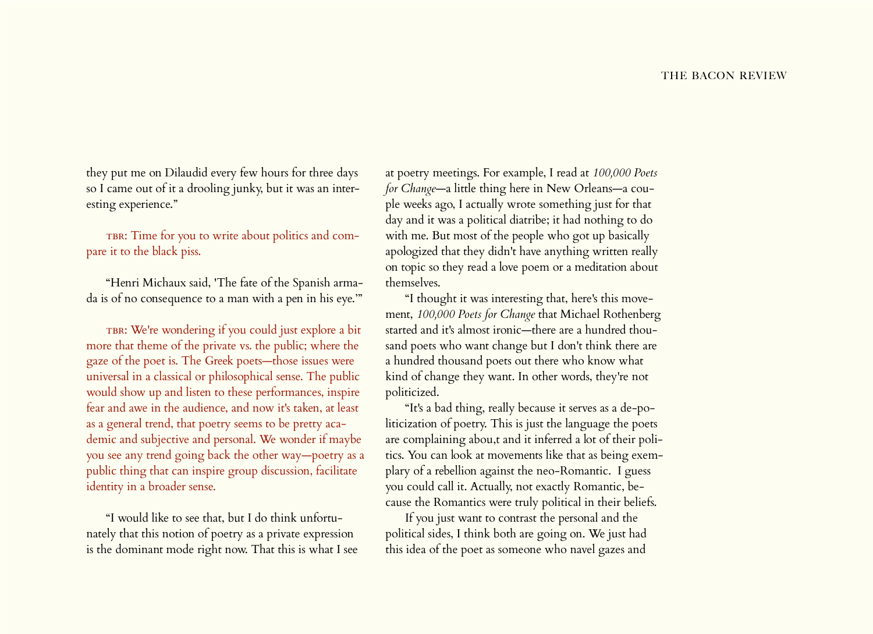they put me on Dilaudid every few hours for three days so I came out of it a drooling junky, but it was an interesting experience."

TBR: Time for you to write about politics and compare it to the black piss.

"Henri Michaux said, 'The fate of the Spanish armada is of no consequence to a man with a pen in his eye.'"

TBR: We're wondering if you could just explore a bit more that theme of the private vs. the public; where the gaze of the poet is. The Greek poets—those issues were universal in a classical or philosophical sense. The public would show up and listen to these performances, inspire fear and awe in the audience, and now it's taken, at least as a general trend, that poetry seems to be pretty academic and subjective and personal. We wonder if maybe you see any trend going back the other way—poetry as a public thing that can inspire group discussion, facilitate identity in a broader sense.

"I would like to see that, but I do think unfortunately that this notion of poetry as a private expression is the dominant mode right now. That this is what I see at poetry meetings. For example, I read at *100,000 Poets for Change*—a little thing here in New Orleans—a couple weeks ago, I actually wrote something just for that day and it was a political diatribe; it had nothing to do with me. But most of the people who got up basically apologized that they didn't have anything written really on topic so they read a love poem or a meditation about themselves.

"I thought it was interesting that, here's this movement, *100,000 Poets for Change* that Michael Rothenberg started and it's almost ironic—there are a hundred thousand poets who want change but I don't think there are a hundred thousand poets out there who know what kind of change they want. In other words, they're not politicized.

"It's a bad thing, really because it serves as a de-politicization of poetry. This is just the language the poets are complaining abou,t and it inferred a lot of their politics. You can look at movements like that as being exemplary of a rebellion against the neo-Romantic. I guess you could call it. Actually, not exactly Romantic, because the Romantics were truly political in their beliefs.

If you just want to contrast the personal and the political sides, I think both are going on. We just had this idea of the poet as someone who navel gazes and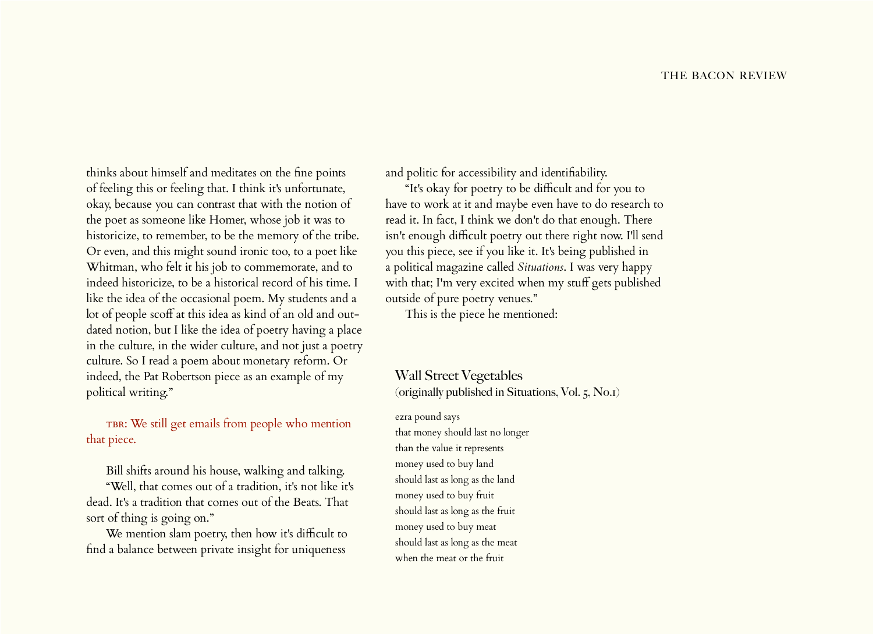thinks about himself and meditates on the fine points of feeling this or feeling that. I think it's unfortunate, okay, because you can contrast that with the notion of the poet as someone like Homer, whose job it was to historicize, to remember, to be the memory of the tribe. Or even, and this might sound ironic too, to a poet like Whitman, who felt it his job to commemorate, and to indeed historicize, to be a historical record of his time. I like the idea of the occasional poem. My students and a lot of people scoff at this idea as kind of an old and outdated notion, but I like the idea of poetry having a place in the culture, in the wider culture, and not just a poetry culture. So I read a poem about monetary reform. Or indeed, the Pat Robertson piece as an example of my political writing."

TBR: We still get emails from people who mention that piece.

Bill shifts around his house, walking and talking.

"Well, that comes out of a tradition, it's not like it's dead. It's a tradition that comes out of the Beats. That sort of thing is going on."

We mention slam poetry, then how it's difficult to find a balance between private insight for uniqueness

and politic for accessibility and identifiability.

"It's okay for poetry to be difficult and for you to have to work at it and maybe even have to do research to read it. In fact, I think we don't do that enough. There isn't enough difficult poetry out there right now. I'll send you this piece, see if you like it. It's being published in a political magazine called *Situations*. I was very happy with that; I'm very excited when my stuff gets published outside of pure poetry venues."

This is the piece he mentioned:

Wall Street Vegetables (originally published in Situations, Vol. 5, No.1)

ezra pound says that money should last no longer than the value it represents money used to buy land should last as long as the land money used to buy fruit should last as long as the fruit money used to buy meat should last as long as the meat when the meat or the fruit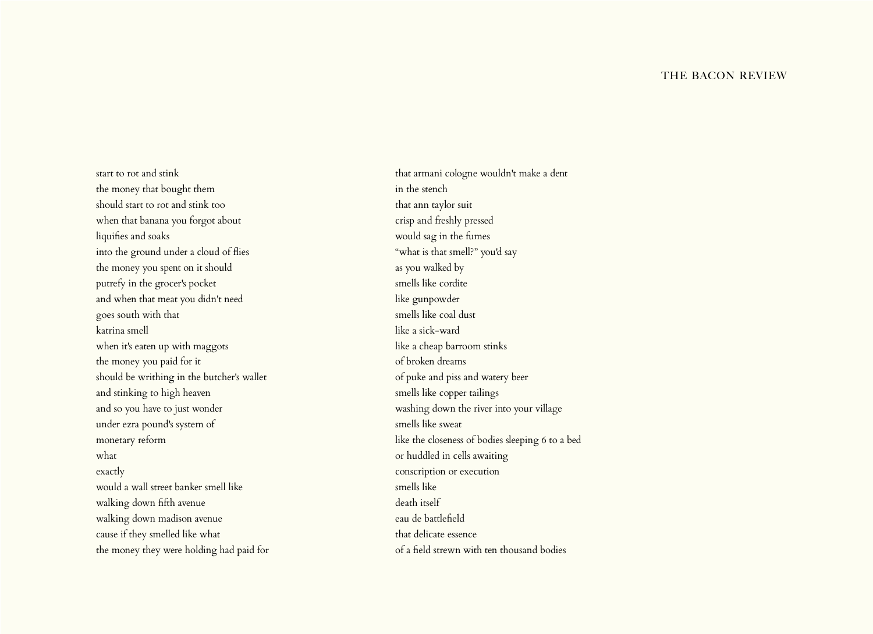#### THE BACON REVIEW

start to rot and stink the money that bought them should start to rot and stink too when that banana you forgot about liquifies and soaks into the ground under a cloud of flies the money you spent on it should putrefy in the grocer's pocket and when that meat you didn't need goes south with that katrina smell when it's eaten up with maggots the money you paid for it should be writhing in the butcher's wallet and stinking to high heaven and so you have to just wonder under ezra pound's system of monetary reform what exactly would a wall street banker smell like walking down fifth avenue walking down madison avenue cause if they smelled like what the money they were holding had paid for

that armani cologne wouldn't make a dent in the stench that ann taylor suit crisp and freshly pressed would sag in the fumes "what is that smell?" you'd say as you walked by smells like cordite like gunpowder smells like coal dust like a sick-ward like a cheap barroom stinks of broken dreams of puke and piss and watery beer smells like copper tailings washing down the river into your village smells like sweat like the closeness of bodies sleeping 6 to a bed or huddled in cells awaiting conscription or execution smells like death itself eau de battlefield that delicate essence of a field strewn with ten thousand bodies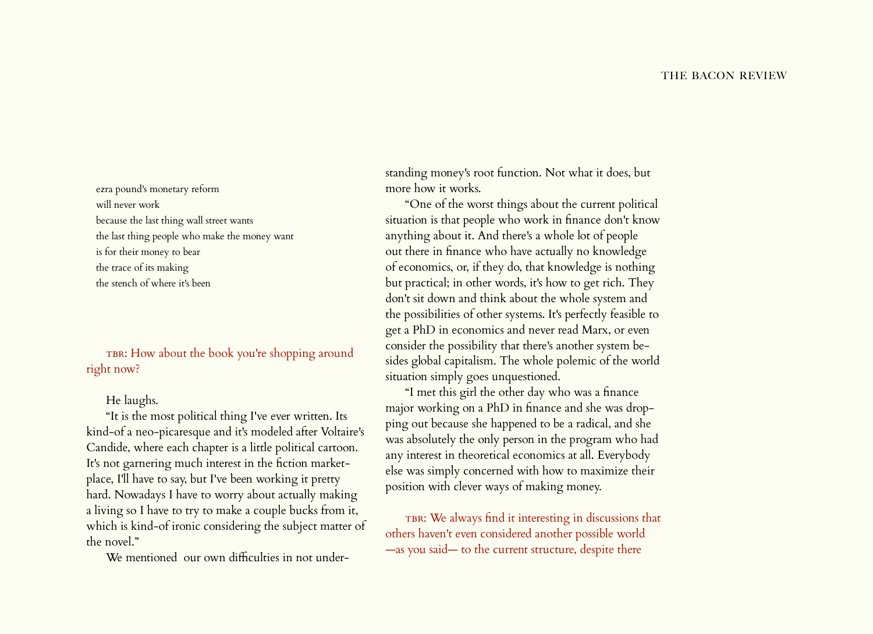ezra pound's monetary reform will never work because the last thing wall street wants the last thing people who make the money want is for their money to bear the trace of its making the stench of where it's been

TBR: How about the book you're shopping around right now?

#### He laughs.

"It is the most political thing I've ever written. Its kind-of a neo-picaresque and it's modeled after Voltaire's Candide, where each chapter is a little political cartoon. It's not garnering much interest in the fiction marketplace, I'll have to say, but I've been working it pretty hard. Nowadays I have to worry about actually making a living so I have to try to make a couple bucks from it, which is kind-of ironic considering the subject matter of the novel."

We mentioned our own difficulties in not under-

standing money's root function. Not what it does, but more how it works.

"One of the worst things about the current political situation is that people who work in finance don't know anything about it. And there's a whole lot of people out there in finance who have actually no knowledge of economics, or, if they do, that knowledge is nothing but practical; in other words, it's how to get rich. They don't sit down and think about the whole system and the possibilities of other systems. It's perfectly feasible to get a PhD in economics and never read Marx, or even consider the possibility that there's another system besides global capitalism. The whole polemic of the world situation simply goes unquestioned.

"I met this girl the other day who was a finance major working on a PhD in finance and she was dropping out because she happened to be a radical, and she was absolutely the only person in the program who had any interest in theoretical economics at all. Everybody else was simply concerned with how to maximize their position with clever ways of making money.

TBR: We always find it interesting in discussions that others haven't even considered another possible world —as you said— to the current structure, despite there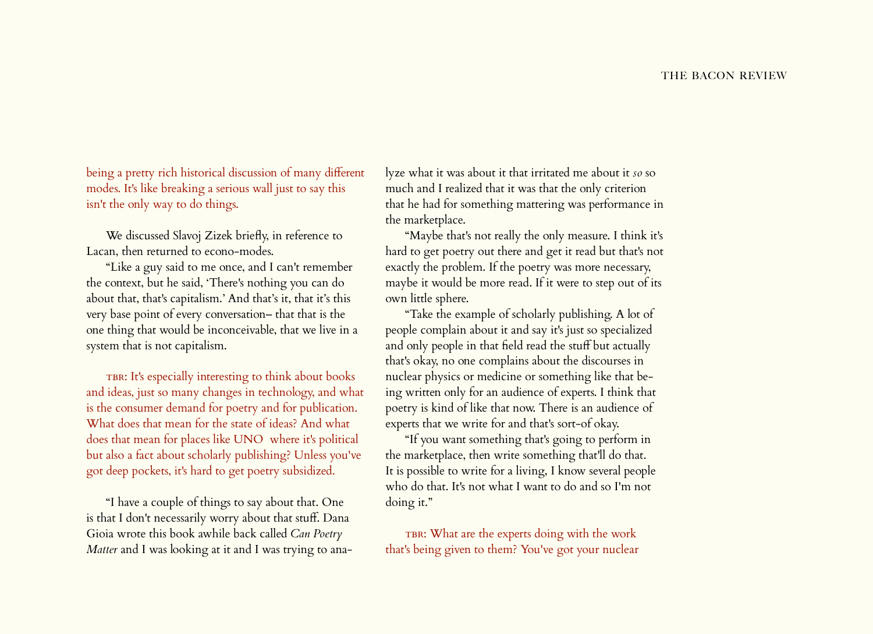being a pretty rich historical discussion of many different modes. It's like breaking a serious wall just to say this isn't the only way to do things.

We discussed Slavoj Zizek briefly, in reference to Lacan, then returned to econo-modes.

"Like a guy said to me once, and I can't remember the context, but he said, 'There's nothing you can do about that, that's capitalism.' And that's it, that it's this very base point of every conversation– that that is the one thing that would be inconceivable, that we live in a system that is not capitalism.

TBR: It's especially interesting to think about books and ideas, just so many changes in technology, and what is the consumer demand for poetry and for publication. What does that mean for the state of ideas? And what does that mean for places like UNO where it's political but also a fact about scholarly publishing? Unless you've got deep pockets, it's hard to get poetry subsidized.

"I have a couple of things to say about that. One is that I don't necessarily worry about that stuff. Dana Gioia wrote this book awhile back called *Can Poetry Matter* and I was looking at it and I was trying to ana-

lyze what it was about it that irritated me about it *so* so much and I realized that it was that the only criterion that he had for something mattering was performance in the marketplace.

"Maybe that's not really the only measure. I think it's hard to get poetry out there and get it read but that's not exactly the problem. If the poetry was more necessary, maybe it would be more read. If it were to step out of its own little sphere.

"Take the example of scholarly publishing. A lot of people complain about it and say it's just so specialized and only people in that field read the stuff but actually that's okay, no one complains about the discourses in nuclear physics or medicine or something like that being written only for an audience of experts. I think that poetry is kind of like that now. There is an audience of experts that we write for and that's sort-of okay.

"If you want something that's going to perform in the marketplace, then write something that'll do that. It is possible to write for a living, I know several people who do that. It's not what I want to do and so I'm not doing it."

TBR: What are the experts doing with the work that's being given to them? You've got your nuclear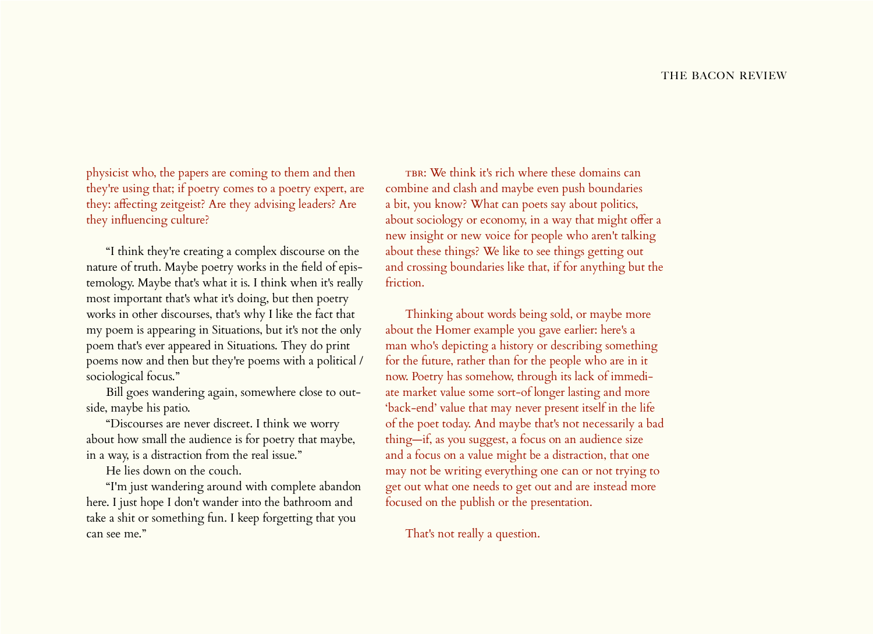physicist who, the papers are coming to them and then they're using that; if poetry comes to a poetry expert, are they: affecting zeitgeist? Are they advising leaders? Are they influencing culture?

"I think they're creating a complex discourse on the nature of truth. Maybe poetry works in the field of epistemology. Maybe that's what it is. I think when it's really most important that's what it's doing, but then poetry works in other discourses, that's why I like the fact that my poem is appearing in Situations, but it's not the only poem that's ever appeared in Situations. They do print poems now and then but they're poems with a political / sociological focus."

Bill goes wandering again, somewhere close to outside, maybe his patio.

"Discourses are never discreet. I think we worry about how small the audience is for poetry that maybe, in a way, is a distraction from the real issue."

He lies down on the couch.

"I'm just wandering around with complete abandon here. I just hope I don't wander into the bathroom and take a shit or something fun. I keep forgetting that you can see me."

 $TBR:$  We think it's rich where these domains can combine and clash and maybe even push boundaries a bit, you know? What can poets say about politics, about sociology or economy, in a way that might offer a new insight or new voice for people who aren't talking about these things? We like to see things getting out and crossing boundaries like that, if for anything but the friction.

Thinking about words being sold, or maybe more about the Homer example you gave earlier: here's a man who's depicting a history or describing something for the future, rather than for the people who are in it now. Poetry has somehow, through its lack of immediate market value some sort-of longer lasting and more 'back-end' value that may never present itself in the life of the poet today. And maybe that's not necessarily a bad thing—if, as you suggest, a focus on an audience size and a focus on a value might be a distraction, that one may not be writing everything one can or not trying to get out what one needs to get out and are instead more focused on the publish or the presentation.

That's not really a question.